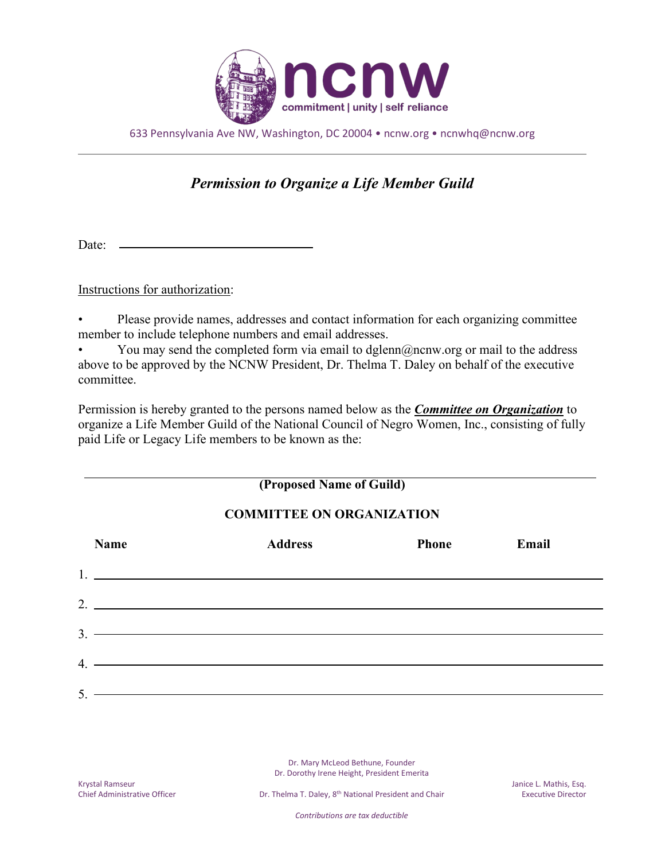

633 Pennsylvania Ave NW, Washington, DC 20004 • ncnw.org • ncnwhq@ncnw.org

## *Permission to Organize a Life Member Guild*

Date: -

Instructions for authorization:

• Please provide names, addresses and contact information for each organizing committee member to include telephone numbers and email addresses.

You may send the completed form via email to dglenn@ncnw.org or mail to the address above to be approved by the NCNW President, Dr. Thelma T. Daley on behalf of the executive committee.

Permission is hereby granted to the persons named below as the *Committee on Organization* to organize a Life Member Guild of the National Council of Negro Women, Inc., consisting of fully paid Life or Legacy Life members to be known as the:

## **(Proposed Name of Guild)**

## **COMMITTEE ON ORGANIZATION**

|    | <b>Name</b>                                                                                                                                                                                                                                                                                                            | <b>Address</b> | <b>Phone</b> | Email |
|----|------------------------------------------------------------------------------------------------------------------------------------------------------------------------------------------------------------------------------------------------------------------------------------------------------------------------|----------------|--------------|-------|
|    | $1.$ $\frac{1}{2}$ $\frac{1}{2}$ $\frac{1}{2}$ $\frac{1}{2}$ $\frac{1}{2}$ $\frac{1}{2}$ $\frac{1}{2}$ $\frac{1}{2}$ $\frac{1}{2}$ $\frac{1}{2}$ $\frac{1}{2}$ $\frac{1}{2}$ $\frac{1}{2}$ $\frac{1}{2}$ $\frac{1}{2}$ $\frac{1}{2}$ $\frac{1}{2}$ $\frac{1}{2}$ $\frac{1}{2}$ $\frac{1}{2}$ $\frac{1}{2}$ $\frac{1}{$ |                |              |       |
|    | 2.                                                                                                                                                                                                                                                                                                                     |                |              |       |
|    | 3.                                                                                                                                                                                                                                                                                                                     |                |              |       |
|    | $4.$ $\overline{\phantom{a}}$                                                                                                                                                                                                                                                                                          |                |              |       |
| 5. | <u> 1989 - Johann Stoff, deutscher Stoff, der Stoff, der Stoff, der Stoff, der Stoff, der Stoff, der Stoff, der S</u>                                                                                                                                                                                                  |                |              |       |

Dr. Mary McLeod Bethune, Founder Dr. Dorothy Irene Height, President Emerita